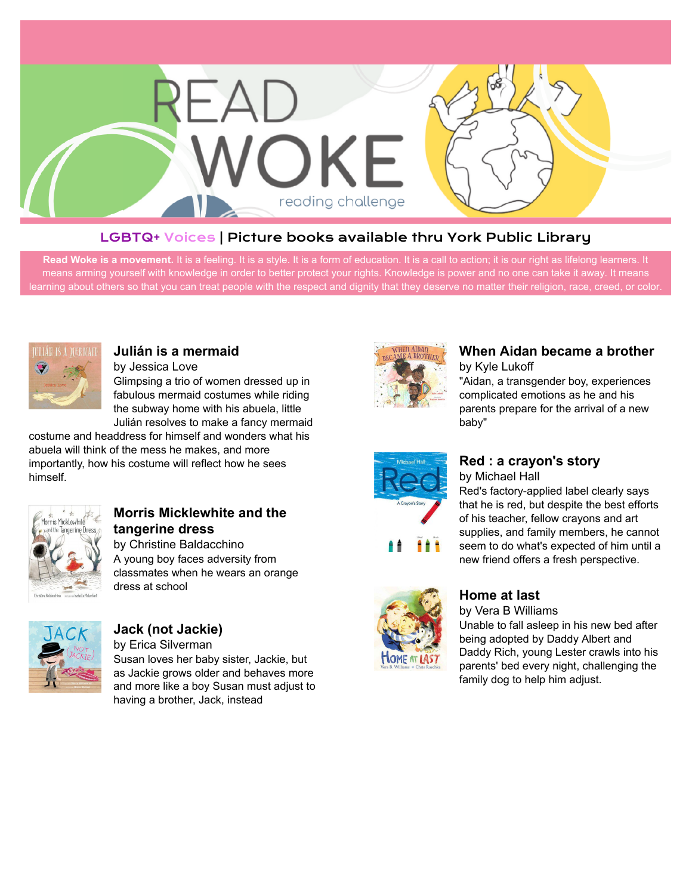

#### LGBTQ+ Voices | Picture books available thru York Public Library

Read Woke is a movement. It is a feeling. It is a style. It is a form of education. It is a call to action; it is our right as lifelong learners. It means arming yourself with knowledge in order to better protect your rights. Knowledge is power and no one can take it away. It means learning about others so that you can treat people with the respect and dignity that they deserve no matter their religion, race, creed, or color.



#### **[Julián is a mermaid](https://libraryaware.com/27D0E4)**

by Jessica Love Glimpsing a trio of women dressed up in fabulous mermaid costumes while riding the subway home with his abuela, little Julián resolves to make a fancy mermaid

costume and headdress for himself and wonders what his abuela will think of the mess he makes, and more importantly, how his costume will reflect how he sees himself.



# **[Morris Micklewhite and the](https://libraryaware.com/27D0E5) [tangerine dress](https://libraryaware.com/27D0E5)**

by Christine Baldacchino A young boy faces adversity from classmates when he wears an orange dress at school



# **[Jack \(not Jackie\)](https://libraryaware.com/27D0E6)**

by Erica Silverman Susan loves her baby sister, Jackie, but as Jackie grows older and behaves more and more like a boy Susan must adjust to having a brother, Jack, instead



# **[When Aidan became a brother](https://libraryaware.com/27D0E7)**

by Kyle Lukoff "Aidan, a transgender boy, experiences complicated emotions as he and his parents prepare for the arrival of a new baby"



#### **[Red : a crayon's story](https://libraryaware.com/27D0E8)** by Michael Hall

Red's factory-applied label clearly says that he is red, but despite the best efforts of his teacher, fellow crayons and art supplies, and family members, he cannot seem to do what's expected of him until a new friend offers a fresh perspective.



# **[Home at last](https://libraryaware.com/27D0E9)**

by Vera B Williams

Unable to fall asleep in his new bed after being adopted by Daddy Albert and Daddy Rich, young Lester crawls into his parents' bed every night, challenging the family dog to help him adjust.